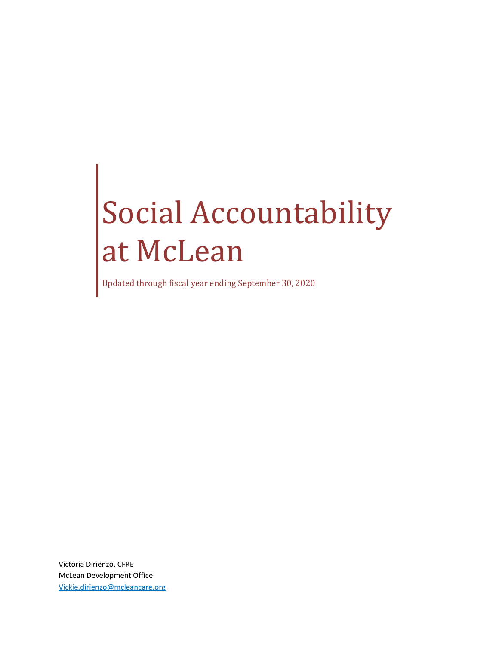# Social Accountability at McLean

Updated through fiscal year ending September 30, 2020

Victoria Dirienzo, CFRE McLean Development Office [Vickie.dirienzo@mcleancare.org](mailto:Vickie.dirienzo@mcleancare.org)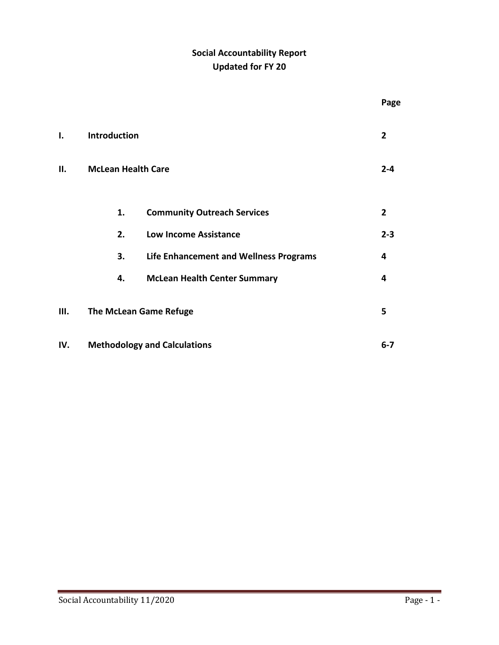# **Social Accountability Report Updated for FY 20**

|     |                                     |                                        |  | Page           |  |
|-----|-------------------------------------|----------------------------------------|--|----------------|--|
| I.  | Introduction                        |                                        |  | $\overline{2}$ |  |
| П.  | <b>McLean Health Care</b>           |                                        |  |                |  |
|     | 1.                                  | <b>Community Outreach Services</b>     |  | $\overline{2}$ |  |
|     | 2.                                  | <b>Low Income Assistance</b>           |  | $2 - 3$        |  |
|     | 3.                                  | Life Enhancement and Wellness Programs |  | 4              |  |
|     | 4.                                  | <b>McLean Health Center Summary</b>    |  | 4              |  |
| Ш.  | <b>The McLean Game Refuge</b>       |                                        |  |                |  |
| IV. | <b>Methodology and Calculations</b> |                                        |  |                |  |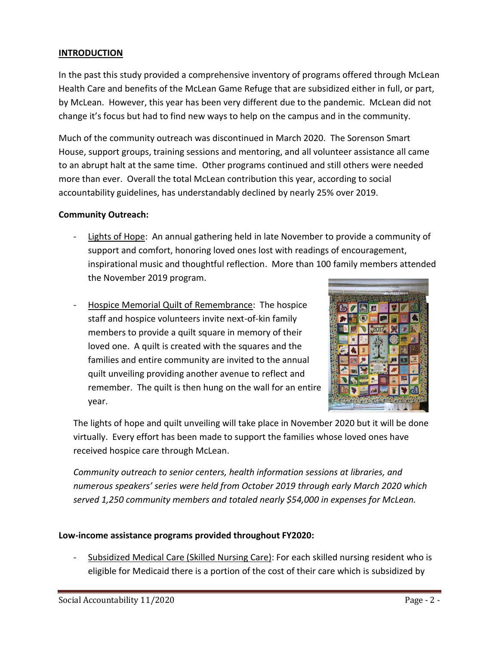#### **INTRODUCTION**

In the past this study provided a comprehensive inventory of programs offered through McLean Health Care and benefits of the McLean Game Refuge that are subsidized either in full, or part, by McLean. However, this year has been very different due to the pandemic. McLean did not change it's focus but had to find new ways to help on the campus and in the community.

Much of the community outreach was discontinued in March 2020. The Sorenson Smart House, support groups, training sessions and mentoring, and all volunteer assistance all came to an abrupt halt at the same time. Other programs continued and still others were needed more than ever. Overall the total McLean contribution this year, according to social accountability guidelines, has understandably declined by nearly 25% over 2019.

#### **Community Outreach:**

- Lights of Hope: An annual gathering held in late November to provide a community of support and comfort, honoring loved ones lost with readings of encouragement, inspirational music and thoughtful reflection. More than 100 family members attended the November 2019 program.
- Hospice Memorial Quilt of Remembrance: The hospice staff and hospice volunteers invite next-of-kin family members to provide a quilt square in memory of their loved one. A quilt is created with the squares and the families and entire community are invited to the annual quilt unveiling providing another avenue to reflect and remember. The quilt is then hung on the wall for an entire year.



The lights of hope and quilt unveiling will take place in November 2020 but it will be done virtually. Every effort has been made to support the families whose loved ones have received hospice care through McLean.

*Community outreach to senior centers, health information sessions at libraries, and numerous speakers' series were held from October 2019 through early March 2020 which served 1,250 community members and totaled nearly \$54,000 in expenses for McLean.*

#### **Low-income assistance programs provided throughout FY2020:**

Subsidized Medical Care (Skilled Nursing Care): For each skilled nursing resident who is eligible for Medicaid there is a portion of the cost of their care which is subsidized by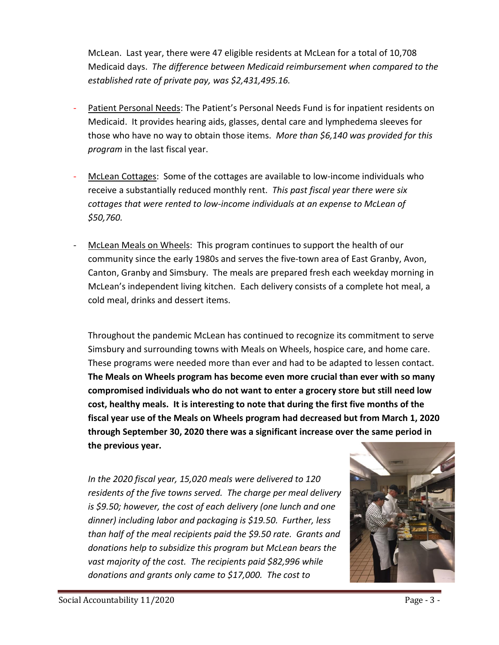McLean. Last year, there were 47 eligible residents at McLean for a total of 10,708 Medicaid days. *The difference between Medicaid reimbursement when compared to the established rate of private pay, was \$2,431,495.16.*

- Patient Personal Needs: The Patient's Personal Needs Fund is for inpatient residents on Medicaid. It provides hearing aids, glasses, dental care and lymphedema sleeves for those who have no way to obtain those items. *More than \$6,140 was provided for this program* in the last fiscal year.
- McLean Cottages: Some of the cottages are available to low-income individuals who receive a substantially reduced monthly rent. *This past fiscal year there were six cottages that were rented to low-income individuals at an expense to McLean of \$50,760.*
- McLean Meals on Wheels: This program continues to support the health of our community since the early 1980s and serves the five-town area of East Granby, Avon, Canton, Granby and Simsbury. The meals are prepared fresh each weekday morning in McLean's independent living kitchen. Each delivery consists of a complete hot meal, a cold meal, drinks and dessert items.

Throughout the pandemic McLean has continued to recognize its commitment to serve Simsbury and surrounding towns with Meals on Wheels, hospice care, and home care. These programs were needed more than ever and had to be adapted to lessen contact. **The Meals on Wheels program has become even more crucial than ever with so many compromised individuals who do not want to enter a grocery store but still need low cost, healthy meals. It is interesting to note that during the first five months of the fiscal year use of the Meals on Wheels program had decreased but from March 1, 2020 through September 30, 2020 there was a significant increase over the same period in the previous year.**

*In the 2020 fiscal year, 15,020 meals were delivered to 120 residents of the five towns served. The charge per meal delivery is \$9.50; however, the cost of each delivery (one lunch and one dinner) including labor and packaging is \$19.50. Further, less than half of the meal recipients paid the \$9.50 rate. Grants and donations help to subsidize this program but McLean bears the vast majority of the cost. The recipients paid \$82,996 while donations and grants only came to \$17,000. The cost to* 

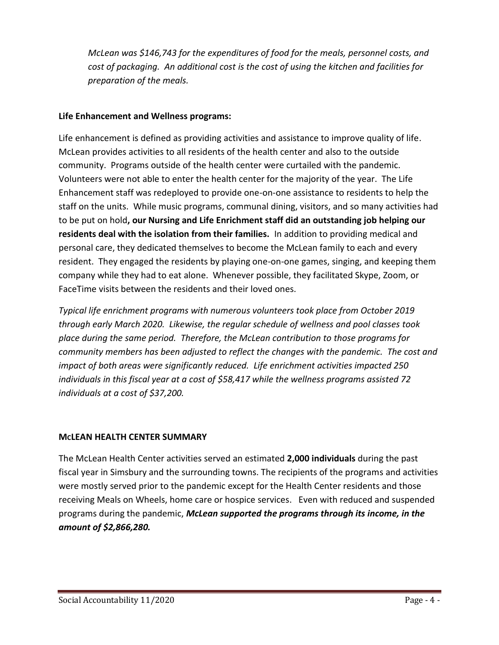*McLean was \$146,743 for the expenditures of food for the meals, personnel costs, and cost of packaging. An additional cost is the cost of using the kitchen and facilities for preparation of the meals.*

# **Life Enhancement and Wellness programs:**

Life enhancement is defined as providing activities and assistance to improve quality of life. McLean provides activities to all residents of the health center and also to the outside community. Programs outside of the health center were curtailed with the pandemic. Volunteers were not able to enter the health center for the majority of the year. The Life Enhancement staff was redeployed to provide one-on-one assistance to residents to help the staff on the units. While music programs, communal dining, visitors, and so many activities had to be put on hold**, our Nursing and Life Enrichment staff did an outstanding job helping our residents deal with the isolation from their families.** In addition to providing medical and personal care, they dedicated themselves to become the McLean family to each and every resident. They engaged the residents by playing one-on-one games, singing, and keeping them company while they had to eat alone. Whenever possible, they facilitated Skype, Zoom, or FaceTime visits between the residents and their loved ones.

*Typical life enrichment programs with numerous volunteers took place from October 2019 through early March 2020. Likewise, the regular schedule of wellness and pool classes took place during the same period. Therefore, the McLean contribution to those programs for community members has been adjusted to reflect the changes with the pandemic. The cost and impact of both areas were significantly reduced. Life enrichment activities impacted 250 individuals in this fiscal year at a cost of \$58,417 while the wellness programs assisted 72 individuals at a cost of \$37,200.* 

# **MCLEAN HEALTH CENTER SUMMARY**

The McLean Health Center activities served an estimated **2,000 individuals** during the past fiscal year in Simsbury and the surrounding towns. The recipients of the programs and activities were mostly served prior to the pandemic except for the Health Center residents and those receiving Meals on Wheels, home care or hospice services. Even with reduced and suspended programs during the pandemic, *McLean supported the programs through its income, in the amount of \$2,866,280.*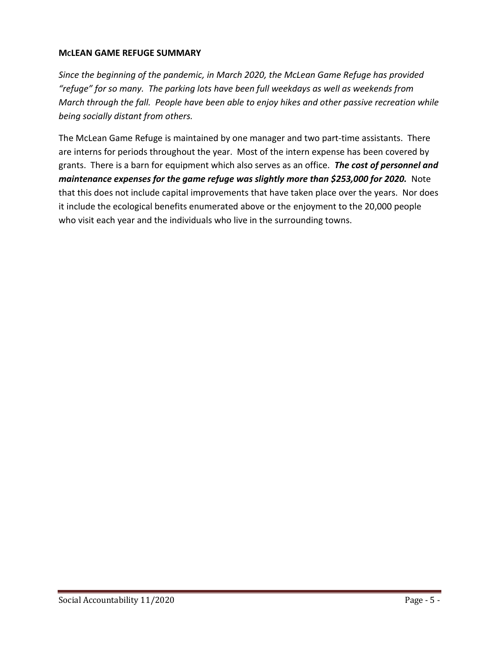#### **MCLEAN GAME REFUGE SUMMARY**

*Since the beginning of the pandemic, in March 2020, the McLean Game Refuge has provided "refuge" for so many. The parking lots have been full weekdays as well as weekends from March through the fall. People have been able to enjoy hikes and other passive recreation while being socially distant from others.*

The McLean Game Refuge is maintained by one manager and two part-time assistants. There are interns for periods throughout the year. Most of the intern expense has been covered by grants. There is a barn for equipment which also serves as an office. *The cost of personnel and maintenance expenses for the game refuge was slightly more than \$253,000 for 2020.* Note that this does not include capital improvements that have taken place over the years. Nor does it include the ecological benefits enumerated above or the enjoyment to the 20,000 people who visit each year and the individuals who live in the surrounding towns.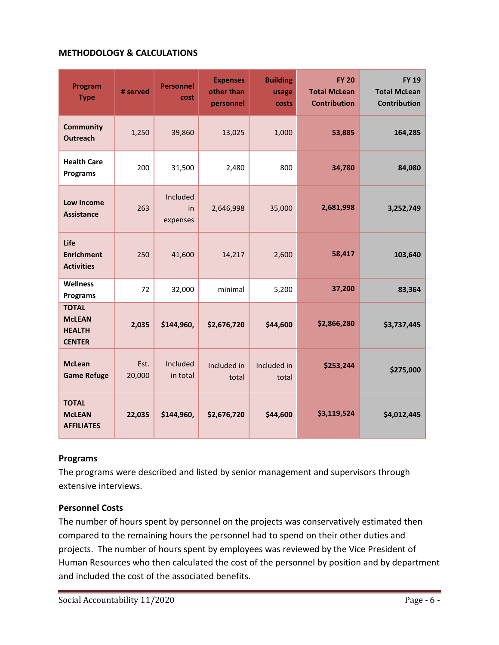#### **METHODOLOGY & CALCULATIONS**

| Program<br><b>Type</b>                                          | # served       | <b>Personnel</b><br>cost   | <b>Expenses</b><br>other than<br>personnel | <b>Building</b><br>usage<br>costs | <b>FY 20</b><br><b>Total McLean</b><br><b>Contribution</b> | <b>FY 19</b><br><b>Total McLean</b><br><b>Contribution</b> |
|-----------------------------------------------------------------|----------------|----------------------------|--------------------------------------------|-----------------------------------|------------------------------------------------------------|------------------------------------------------------------|
| <b>Community</b><br><b>Outreach</b>                             | 1,250          | 39,860                     | 13,025                                     | 1,000                             | 53,885                                                     | 164,285                                                    |
| <b>Health Care</b><br><b>Programs</b>                           | 200            | 31,500                     | 2,480                                      | 800                               | 34,780                                                     | 84,080                                                     |
| Low Income<br><b>Assistance</b>                                 | 263            | Included<br>in<br>expenses | 2,646,998                                  | 35,000                            | 2,681,998                                                  | 3,252,749                                                  |
| Life<br><b>Enrichment</b><br><b>Activities</b>                  | 250            | 41,600                     | 14,217                                     | 2,600                             | 58,417                                                     | 103,640                                                    |
| <b>Wellness</b><br><b>Programs</b>                              | 72             | 32,000                     | minimal                                    | 5,200                             | 37,200                                                     | 83,364                                                     |
| <b>TOTAL</b><br><b>McLEAN</b><br><b>HEALTH</b><br><b>CENTER</b> | 2,035          | \$144,960,                 | \$2,676,720                                | \$44,600                          | \$2,866,280                                                | \$3,737,445                                                |
| <b>McLean</b><br><b>Game Refuge</b>                             | Est.<br>20,000 | Included<br>in total       | Included in<br>total                       | Included in<br>total              | \$253,244                                                  | \$275,000                                                  |
| <b>TOTAL</b><br><b>McLEAN</b><br><b>AFFILIATES</b>              | 22,035         | \$144,960,                 | \$2,676,720                                | \$44,600                          | \$3,119,524                                                | \$4,012,445                                                |

#### **Programs**

The programs were described and listed by senior management and supervisors through extensive interviews.

#### **Personnel Costs**

The number of hours spent by personnel on the projects was conservatively estimated then compared to the remaining hours the personnel had to spend on their other duties and projects. The number of hours spent by employees was reviewed by the Vice President of Human Resources who then calculated the cost of the personnel by position and by department and included the cost of the associated benefits.